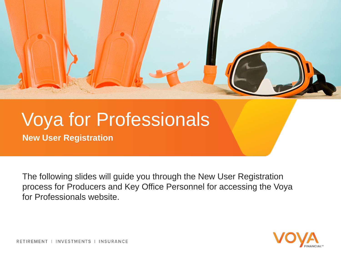

# Voya for Professionals

**New User Registration**

The following slides will guide you through the New User Registration process for Producers and Key Office Personnel for accessing the Voya for Professionals website.



RETIREMENT | INVESTMENTS | INSURANCE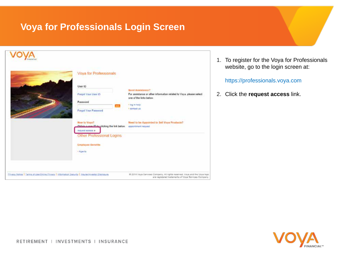### **Voya for Professionals Login Screen**



1. To register for the Voya for Professionals website, go to the login screen at:

https://professionals.voya.com

2. Click the **request access** link.

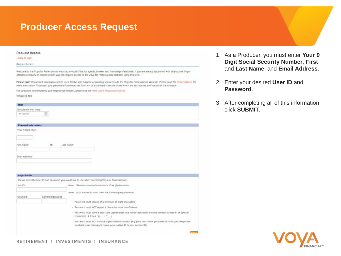### **Producer Access Request**

| <b>Request Access</b>                                                                                                                                                                                                                                                                                                             | 1. As a Producer, you must enter Your 9      |
|-----------------------------------------------------------------------------------------------------------------------------------------------------------------------------------------------------------------------------------------------------------------------------------------------------------------------------------|----------------------------------------------|
| « back to legin                                                                                                                                                                                                                                                                                                                   |                                              |
| Request Access                                                                                                                                                                                                                                                                                                                    | <b>Digit Social Security Number, First</b>   |
| Welcome to the Voya for Professionals website, a virtual office for agents, brokers and financial professionals. If you are atready appointed with at least one Voya<br>affiliated company or Broker Dealer, you can request access to the Voya for Professionals Web site using this form.                                       | and Last Name, and Email Address.            |
| Please Note: Requested information will be used for the sole purpose of granting you access to the Voya for Professionals Web site. Please read the Plivacy Notice for<br>more information. To protect your personal information, this form will be submitted in secure mode which will encrypt the information for transmission. | 2. Enter your desired User ID and            |
| For cuestions on completing your registration request, please see the New Users Registration Guide.                                                                                                                                                                                                                               | Password.                                    |
| *Required field                                                                                                                                                                                                                                                                                                                   |                                              |
|                                                                                                                                                                                                                                                                                                                                   |                                              |
| Role                                                                                                                                                                                                                                                                                                                              | 3. After completing all of this information, |
| Association with Voya'                                                                                                                                                                                                                                                                                                            | click SUBMIT.                                |
| Ξ<br>Producer                                                                                                                                                                                                                                                                                                                     |                                              |
|                                                                                                                                                                                                                                                                                                                                   |                                              |
| Personal Information                                                                                                                                                                                                                                                                                                              |                                              |
| Voir 9 Digit 5SN                                                                                                                                                                                                                                                                                                                  |                                              |
|                                                                                                                                                                                                                                                                                                                                   |                                              |
|                                                                                                                                                                                                                                                                                                                                   |                                              |
| M<br>First Name<br>Last Name                                                                                                                                                                                                                                                                                                      |                                              |
|                                                                                                                                                                                                                                                                                                                                   |                                              |
| Emat Address'                                                                                                                                                                                                                                                                                                                     |                                              |
|                                                                                                                                                                                                                                                                                                                                   |                                              |
|                                                                                                                                                                                                                                                                                                                                   |                                              |
|                                                                                                                                                                                                                                                                                                                                   |                                              |
| Logn Profile                                                                                                                                                                                                                                                                                                                      |                                              |
| Please enter the User ID and Password you would like to use when accessing Voya for Professionals.                                                                                                                                                                                                                                |                                              |
| User ID<br>Note. ID must constit of a mimmum of six (5) characters.                                                                                                                                                                                                                                                               |                                              |
|                                                                                                                                                                                                                                                                                                                                   |                                              |
| Note: your Password must meet the following requirements.                                                                                                                                                                                                                                                                         |                                              |
| Confirm Password*<br>Password"                                                                                                                                                                                                                                                                                                    |                                              |
| - Password must consist of a minimum of eight characters                                                                                                                                                                                                                                                                          |                                              |
| - Password must NOT repeat a character more than 3 times                                                                                                                                                                                                                                                                          |                                              |
| · Password must have at least one capital letter, one lower case letter and one numeric character or special<br>character [1# \$ % & "1] -_-***]                                                                                                                                                                                  |                                              |
| - Password must NOT consist of personal information (e.g. your own name, your date of birth, your relephone<br>numbers, your company's name, your system ID or your account IDJ                                                                                                                                                   |                                              |
|                                                                                                                                                                                                                                                                                                                                   |                                              |
|                                                                                                                                                                                                                                                                                                                                   | $\sim$                                       |

#### RETIREMENT | INVESTMENTS | INSURANCE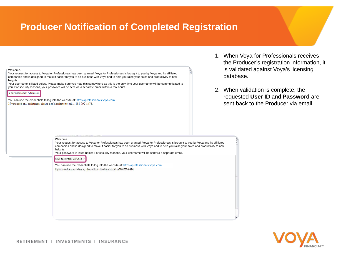### **Producer Notification of Completed Registration**

| Welcome.                                                                                                                                                                                                                                                                                                                                                                                                          | ¢ |  |
|-------------------------------------------------------------------------------------------------------------------------------------------------------------------------------------------------------------------------------------------------------------------------------------------------------------------------------------------------------------------------------------------------------------------|---|--|
| Your request for access to Voya for Professionals has been granted. Voya for Professionals is brought to you by Voya and its affiliated<br>companies and is designed to make it easier for you to do business with Voya and to help you raise your sales and productivity to new<br>heights.                                                                                                                      |   |  |
| Your username is listed below. Please make sure you note this somewhere as this is the only time your username will be communicated to<br>you. For security reasons, your password will be sent via a separate email within a few hours.                                                                                                                                                                          |   |  |
| Your usemame: AJohnson                                                                                                                                                                                                                                                                                                                                                                                            |   |  |
|                                                                                                                                                                                                                                                                                                                                                                                                                   |   |  |
| You can use the credentials to log into the website at: https://professionals.voya.com.<br>If you need any assistance, please don't hesitate to call 1-888-792-8476.                                                                                                                                                                                                                                              |   |  |
|                                                                                                                                                                                                                                                                                                                                                                                                                   |   |  |
|                                                                                                                                                                                                                                                                                                                                                                                                                   |   |  |
|                                                                                                                                                                                                                                                                                                                                                                                                                   |   |  |
|                                                                                                                                                                                                                                                                                                                                                                                                                   |   |  |
|                                                                                                                                                                                                                                                                                                                                                                                                                   |   |  |
| Welcome.<br>Your request for access to Voya for Professionals has been granted. Voya for Professionals is brought to you by Voya and its affiliated<br>companies and is designed to make it easier for you to do business with Voya and to help you raise your sales and productivity to new<br>heights.<br>Your password is listed below. For security reasons, your username will be sent via a separate email. |   |  |
| Your password: B@CX-8Hr                                                                                                                                                                                                                                                                                                                                                                                           |   |  |
| You can use the credentials to log into the website at: https://professionals.voya.com.<br>If you need any assistance, please don't hesitate to call 1-888-792-8476.                                                                                                                                                                                                                                              |   |  |
|                                                                                                                                                                                                                                                                                                                                                                                                                   |   |  |
|                                                                                                                                                                                                                                                                                                                                                                                                                   |   |  |
|                                                                                                                                                                                                                                                                                                                                                                                                                   |   |  |
|                                                                                                                                                                                                                                                                                                                                                                                                                   |   |  |
|                                                                                                                                                                                                                                                                                                                                                                                                                   |   |  |
|                                                                                                                                                                                                                                                                                                                                                                                                                   |   |  |
|                                                                                                                                                                                                                                                                                                                                                                                                                   |   |  |
|                                                                                                                                                                                                                                                                                                                                                                                                                   |   |  |

- 1. When Voya for Professionals receives the Producer's registration information, it is validated against Voya's licensing database.
- 2. When validation is complete, the requested **User ID** and **Password** are sent back to the Producer via email.

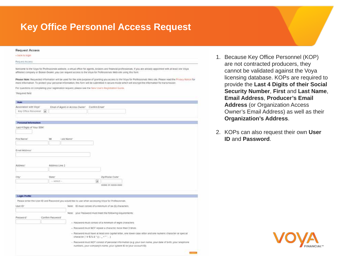### **Key Office Personnel Access Request**

| « back to logit!<br>Reguest Access<br>Welcome to the Voya for Professionals website, a virtual office for agents, brokers and financial professionals. If you are already appointed with at least one Voya<br>affiliated company or Broker-Dealer, you can request access to the Voya for Professionals Web site using this form.<br>Please Note: Requested information will be used for the sole purpose of granting you access to the Voya for Professionals Web site. Please read the Privacy Notice for<br>more information. To protect your personal information, this form will be submitted in secure mode which will encrypt the information for transmission.<br>For questions on completing your registration request, please see the New Users Registration Guide.<br>'Required field<br>Role<br>Association with Voya'<br>Email of Agent or Access Owner"<br>Confirm Email*<br>Key Office Personnel [. | 1. Because Key<br>are not contra<br>cannot be val<br>licensing data<br>provide the La<br><b>Security Nun</b> |
|--------------------------------------------------------------------------------------------------------------------------------------------------------------------------------------------------------------------------------------------------------------------------------------------------------------------------------------------------------------------------------------------------------------------------------------------------------------------------------------------------------------------------------------------------------------------------------------------------------------------------------------------------------------------------------------------------------------------------------------------------------------------------------------------------------------------------------------------------------------------------------------------------------------------|--------------------------------------------------------------------------------------------------------------|
|                                                                                                                                                                                                                                                                                                                                                                                                                                                                                                                                                                                                                                                                                                                                                                                                                                                                                                                    |                                                                                                              |
|                                                                                                                                                                                                                                                                                                                                                                                                                                                                                                                                                                                                                                                                                                                                                                                                                                                                                                                    |                                                                                                              |
|                                                                                                                                                                                                                                                                                                                                                                                                                                                                                                                                                                                                                                                                                                                                                                                                                                                                                                                    |                                                                                                              |
|                                                                                                                                                                                                                                                                                                                                                                                                                                                                                                                                                                                                                                                                                                                                                                                                                                                                                                                    |                                                                                                              |
|                                                                                                                                                                                                                                                                                                                                                                                                                                                                                                                                                                                                                                                                                                                                                                                                                                                                                                                    |                                                                                                              |
|                                                                                                                                                                                                                                                                                                                                                                                                                                                                                                                                                                                                                                                                                                                                                                                                                                                                                                                    | <b>Email Addres</b>                                                                                          |
|                                                                                                                                                                                                                                                                                                                                                                                                                                                                                                                                                                                                                                                                                                                                                                                                                                                                                                                    | Address (or 0                                                                                                |
|                                                                                                                                                                                                                                                                                                                                                                                                                                                                                                                                                                                                                                                                                                                                                                                                                                                                                                                    |                                                                                                              |
|                                                                                                                                                                                                                                                                                                                                                                                                                                                                                                                                                                                                                                                                                                                                                                                                                                                                                                                    | <b>Owner's Ema</b>                                                                                           |
|                                                                                                                                                                                                                                                                                                                                                                                                                                                                                                                                                                                                                                                                                                                                                                                                                                                                                                                    | Organization                                                                                                 |
| Personal Information                                                                                                                                                                                                                                                                                                                                                                                                                                                                                                                                                                                                                                                                                                                                                                                                                                                                                               |                                                                                                              |
| Last 4 Digits of Your SSN'                                                                                                                                                                                                                                                                                                                                                                                                                                                                                                                                                                                                                                                                                                                                                                                                                                                                                         | 2. KOPs can als                                                                                              |
| Frst Name <sup>*</sup><br>M<br>Last Name"                                                                                                                                                                                                                                                                                                                                                                                                                                                                                                                                                                                                                                                                                                                                                                                                                                                                          | <b>ID and Passy</b>                                                                                          |
|                                                                                                                                                                                                                                                                                                                                                                                                                                                                                                                                                                                                                                                                                                                                                                                                                                                                                                                    |                                                                                                              |
| Email Address'<br>Address <sup>®</sup><br>Address Line 2                                                                                                                                                                                                                                                                                                                                                                                                                                                                                                                                                                                                                                                                                                                                                                                                                                                           |                                                                                                              |
|                                                                                                                                                                                                                                                                                                                                                                                                                                                                                                                                                                                                                                                                                                                                                                                                                                                                                                                    |                                                                                                              |
| Zip/Postal Code'<br>City:<br>State                                                                                                                                                                                                                                                                                                                                                                                                                                                                                                                                                                                                                                                                                                                                                                                                                                                                                 |                                                                                                              |
| Ξ<br>$-$ select $-$                                                                                                                                                                                                                                                                                                                                                                                                                                                                                                                                                                                                                                                                                                                                                                                                                                                                                                |                                                                                                              |
| TOOCK OF JODGER-TOOCK                                                                                                                                                                                                                                                                                                                                                                                                                                                                                                                                                                                                                                                                                                                                                                                                                                                                                              |                                                                                                              |
| Login Profile                                                                                                                                                                                                                                                                                                                                                                                                                                                                                                                                                                                                                                                                                                                                                                                                                                                                                                      |                                                                                                              |
| Please enter the User ID and Password you would like to use when accessing Voya for Professionals.                                                                                                                                                                                                                                                                                                                                                                                                                                                                                                                                                                                                                                                                                                                                                                                                                 |                                                                                                              |
| Note. ID must consest of a minimum of six (6) characters.<br>User ID"                                                                                                                                                                                                                                                                                                                                                                                                                                                                                                                                                                                                                                                                                                                                                                                                                                              |                                                                                                              |
| Note: your Password must meet the following requirements.                                                                                                                                                                                                                                                                                                                                                                                                                                                                                                                                                                                                                                                                                                                                                                                                                                                          |                                                                                                              |
| Password"<br>Confirm Password                                                                                                                                                                                                                                                                                                                                                                                                                                                                                                                                                                                                                                                                                                                                                                                                                                                                                      |                                                                                                              |
| - Password must consist of a minimum of eign: characters                                                                                                                                                                                                                                                                                                                                                                                                                                                                                                                                                                                                                                                                                                                                                                                                                                                           |                                                                                                              |
| - Password must NOT repeat a character more than 3 times.                                                                                                                                                                                                                                                                                                                                                                                                                                                                                                                                                                                                                                                                                                                                                                                                                                                          |                                                                                                              |
| - Pastword must have at least one capital letter, one lower case letter and one numeric character or special<br>character (1#\$%&"()-  ***)                                                                                                                                                                                                                                                                                                                                                                                                                                                                                                                                                                                                                                                                                                                                                                        |                                                                                                              |
| - Pacsword must NOT consist of personal information (e.g. your own name, your date of bitth, your telephone,<br>numbers, your company's name, your system ID or your account ID)                                                                                                                                                                                                                                                                                                                                                                                                                                                                                                                                                                                                                                                                                                                                   |                                                                                                              |

**CITER** 

- Office Personnel (KOP) acted producers, they idated against the Voya base. KOPs are required to **ast 4 Digits of their Social Security Number**, **First** and **Last Name**, **Email Address**, **Producer's Email Address Address** il Address) as well as their **S** Address.
- $2.50$  request their own User *<u>Nord</u>*.

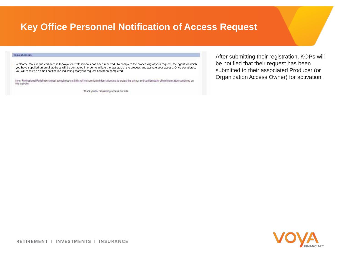### **Key Office Personnel Notification of Access Request**

| Request Access                                                                                                                                                                                                                                                                                                                                                                             | After subn               |
|--------------------------------------------------------------------------------------------------------------------------------------------------------------------------------------------------------------------------------------------------------------------------------------------------------------------------------------------------------------------------------------------|--------------------------|
| Welcome. Your requested access to Voya for Professionals has been received. To complete the processing of your request, the agent for which<br>you have supplied an email address will be contacted in order to initiate the last step of the process and activate your access. Once completed,<br>you will receive an email notification indicating that your request has been completed. | be notified<br>submitted |
| Note: Professional Portal users must accept responsibility not to share login information and to protect the privacy and confidentiality of hite information contained on<br>THIS WODSTO.                                                                                                                                                                                                  | Organizati               |
| Thank you for requesting access our site.                                                                                                                                                                                                                                                                                                                                                  |                          |

nitting their registration, KOPs will I that their request has been to their associated Producer (or ion Access Owner) for activation.

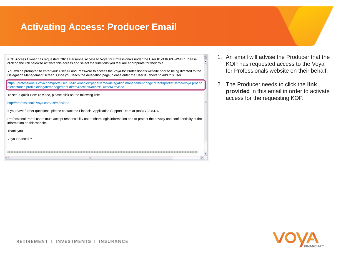### **Activating Access: Producer Email**

| KOP Access Owner has requested Office Personnel access to Voya for Professionals under the User ID of KOPOWNER. Please<br>click on the link below to activate this access and select the functions you feel are appropriate for their role.               |
|-----------------------------------------------------------------------------------------------------------------------------------------------------------------------------------------------------------------------------------------------------------|
| You will be prompted to enter your User ID and Password to access the Voya for Professionals website prior to being directed to the<br>Delegation Management screen. Once you reach the delegation page, please enter the User ID above to add this user. |
| https://professionals.voya.com/portal/secure/linkenabler?pageName=delegation.management.page.direct&portletName=voya.prof.po<br>rtletinstance.profile.delegatemanagement.direct&action=/accessOwner&revised                                               |
| To see a quick How To video, please click on the following link:                                                                                                                                                                                          |
| http://professionals.voya.com/us/mfavideo                                                                                                                                                                                                                 |
| If you have further questions, please contact the Financial Application Support Team at (888) 792-8476.                                                                                                                                                   |
| Professional Portal users must accept responsibility not to share login information and to protect the privacy and confidentiality of the<br>information on this website.                                                                                 |
| Thank you,                                                                                                                                                                                                                                                |
| Voya Financial™                                                                                                                                                                                                                                           |
|                                                                                                                                                                                                                                                           |
|                                                                                                                                                                                                                                                           |

1. An email will advise the Producer that the KOP has requested access to the Voya for Professionals website on their behalf.

W.

 $\mathbf{v}$ 

2. The Producer needs to click the **link provided** in this email in order to activate access for the requesting KOP.

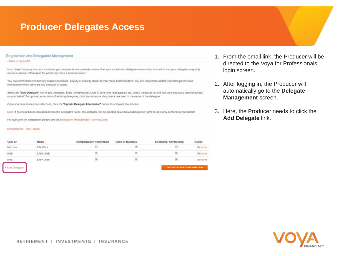### **Producer Delegates Access**

Registration and Delegation Management

#### - back to my profile

Note, Voya" requires that, at a minimum, you must perform a quarterly review of all your established delegate relationships to confirm that your delegates may only access customer information for which they have a business need.

You must immediately report any suspected misuse, privacy or security issues to your Voya representative. You are required to update your delegates' status immediately when there are any changes or issues.

Select the "Add Delegate" link to add delegates. Enter the delegate's User ID when the field appears and check the boxes for the functions you want them to access on your behalf. To update permissions of existing delegates, click the corresponding check box next to the name of the delegate.

Once you have made your selections, click the "Update Delegate Information" button to complete the process.

Note: If no check box is indicated next to the delegate's name, that delegate will be granted basic default delegation rights to wew only content on your behalf.

For questions on delegation, please see the Delegation Management Training Guide.

#### Delegates for, Test - SDMD

| User ID      | Name        | Compensation / Incentives | <b>Book of Business</b> | Licensing / Contracting     | Action |
|--------------|-------------|---------------------------|-------------------------|-----------------------------|--------|
| tife core    | Life Core   |                           |                         |                             | Removi |
| the 5        | LifeE LifeE |                           |                         |                             | Remay  |
| Ide6         | LifeF LifeF |                           |                         |                             | Remov  |
| Add Delegate |             |                           |                         | UPDATE DELEGATE INFORMATION |        |

Add Delegate

- 1. From the email link, the Producer will be directed to the Voya for Professionals login screen.
- 2. After logging in, the Producer will automatically go to the **Delegate Management** screen.
- 3. Here, the Producer needs to click the **Add Delegate** link.

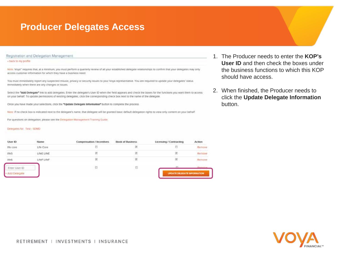### **Producer Delegates Access**

Registration and Delegation Management

#### - back to my profile

Note: Voya" requires that, at a minimum, you must perform a quarterly review of all your established delegate relationships to confirm that your delegates may only access customer information for which they have a business need.

You must immediately report any suspected misuse, privacy or security issues to your Voya representative. You are required to update your delegates' status immediately when there are any changes or issues.

Select the "Add Delegate" link to add delegates. Enter the delegate's User ID when the field appears and check the boxes for the functions you want them to access on your behalf. To update permissions of existing delegates, click the corresponding check box next to the name of the delegate.

Once you have made your selections, click the "Update Delegate Information" button to complete the process.

Note: If no check box is indicated next to the delegate's name, that delegate will be granted basic default delegation rights to wew only content on your behalf.

For questions on delegation, please see the Delegation Management Training Guide.

#### Delegates for, Test - SDMD

| User ID        | Name        | Compensation / Incentives | <b>Book of Business</b> | Licensing / Contracting     | Action  |
|----------------|-------------|---------------------------|-------------------------|-----------------------------|---------|
| tre core       | Life Core   |                           |                         |                             | Remove  |
| trie5          | LifeE LifeE |                           |                         |                             | Remove  |
| Ide6           | LifeF LifeF | ø                         |                         |                             | Remove  |
| Enter User ID  |             |                           |                         |                             | Barmour |
| - Add Delegate |             |                           |                         | UPDATE DELEGATE INPORMATION |         |

- 1. The Producer needs to enter the **KOP's User ID** and then check the boxes under the business functions to which this KOP should have access.
- 2. When finished, the Producer needs to click the **Update Delegate Information** button.

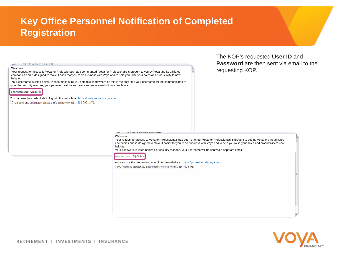### **Key Office Personnel Notification of Completed Registration**

| VVercome to into for Professional                                                                                                                                                                                                                                                                                                                                                                                                                                                                                                                    |                                                                                                                                                                                                                                                                                                                                                                                   | Password are then sent via email to the                                                                                                                                                                                                                                          |  |
|------------------------------------------------------------------------------------------------------------------------------------------------------------------------------------------------------------------------------------------------------------------------------------------------------------------------------------------------------------------------------------------------------------------------------------------------------------------------------------------------------------------------------------------------------|-----------------------------------------------------------------------------------------------------------------------------------------------------------------------------------------------------------------------------------------------------------------------------------------------------------------------------------------------------------------------------------|----------------------------------------------------------------------------------------------------------------------------------------------------------------------------------------------------------------------------------------------------------------------------------|--|
| Welcome.<br>Your request for access to Voya for Professionals has been granted. Voya for Professionals is brought to you by Voya and its affiliated<br>companies and is designed to make it easier for you to do business with Voya and to help you raise your sales and productivity to new<br>heights.<br>Your username is listed below. Please make sure you note this somewhere as this is the only time your username will be communicated to<br>you. For security reasons, your password will be sent via a separate email within a few hours. |                                                                                                                                                                                                                                                                                                                                                                                   | requesting KOP.                                                                                                                                                                                                                                                                  |  |
| Your usemame: AJohnson                                                                                                                                                                                                                                                                                                                                                                                                                                                                                                                               |                                                                                                                                                                                                                                                                                                                                                                                   |                                                                                                                                                                                                                                                                                  |  |
| You can use the credentials to log into the website at: https://professionals.voya.com.<br>If you need any assistance, please don't hesitate to call 1-888-792-8476.                                                                                                                                                                                                                                                                                                                                                                                 |                                                                                                                                                                                                                                                                                                                                                                                   |                                                                                                                                                                                                                                                                                  |  |
|                                                                                                                                                                                                                                                                                                                                                                                                                                                                                                                                                      | MARTINERAL ENTERTAINMENT MATERIAL ENGINEERING<br>Welcome.<br>heights.<br>Your password is listed below. For security reasons, your username will be sent via a separate email.<br>Your password: B@CX-8Hr<br>You can use the credentials to log into the website at: https://professionals.voya.com.<br>If you need any assistance, please don't hesitate to call 1-888-792-8476. | Your request for access to Voya for Professionals has been granted. Voya for Professionals is brought to you by Voya and its affiliated<br>companies and is designed to make it easier for you to do business with Voya and to help you raise your sales and productivity to new |  |

The KOP's requested **User ID** and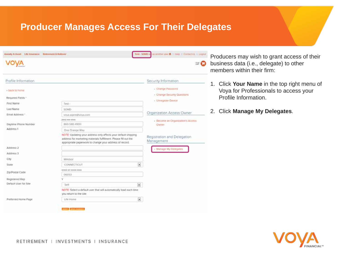### **Producer Manages Access For Their Delegates**

| Annumy & Asset Life Insurance   Retirement & Rollover |                                                                                                                                                                                              | Producers may wish to grant access of their |                                                |                                                                                      |
|-------------------------------------------------------|----------------------------------------------------------------------------------------------------------------------------------------------------------------------------------------------|---------------------------------------------|------------------------------------------------|--------------------------------------------------------------------------------------|
|                                                       |                                                                                                                                                                                              |                                             | $\mathbb{Z}$ $\Omega$                          | business data (i.e., delegate) to other<br>members within their firm:                |
| Profile Information                                   |                                                                                                                                                                                              |                                             | Security Information                           |                                                                                      |
| - beck to nome                                        |                                                                                                                                                                                              |                                             | Change Password<br>- Change Security Questions | 1. Click Your Name in the top right menu of<br>Voya for Professionals to access your |
| Required Fields."                                     |                                                                                                                                                                                              |                                             | - Unregister Device                            | Profile Information.                                                                 |
| First Name                                            | Test-                                                                                                                                                                                        |                                             |                                                |                                                                                      |
| Last Name                                             | SDMD                                                                                                                                                                                         |                                             |                                                | 2. Click Manage My Delegates.                                                        |
| Email Address."                                       | voya agent@voya.com                                                                                                                                                                          |                                             | Organization Access Owner                      |                                                                                      |
|                                                       | 30000-000 (3000)                                                                                                                                                                             |                                             | - Become an Organization's Access              |                                                                                      |
| Daytime Phone Number                                  | 860-580-4900                                                                                                                                                                                 |                                             | Owner                                          |                                                                                      |
| Address 1                                             | One Orange Way                                                                                                                                                                               |                                             |                                                |                                                                                      |
|                                                       | NOTE Updating your address only affects your default shipping<br>address for marketing materials fulfillment. Please fill out the<br>appropriate paperwork to change your address of record. |                                             | Registration and Delegation<br>Management      |                                                                                      |
| Address 2                                             |                                                                                                                                                                                              |                                             | Manage My Delegates                            |                                                                                      |
| Address 3                                             |                                                                                                                                                                                              |                                             |                                                |                                                                                      |
| City                                                  | Windsat                                                                                                                                                                                      |                                             |                                                |                                                                                      |
| State                                                 | CONNECTICUT                                                                                                                                                                                  | $\overline{\phantom{a}}$                    |                                                |                                                                                      |
|                                                       | DODOL OF KIDDEN-RODOL                                                                                                                                                                        |                                             |                                                |                                                                                      |
| Zip/Postal Code                                       | 06053                                                                                                                                                                                        |                                             |                                                |                                                                                      |
| Registered Rep                                        |                                                                                                                                                                                              |                                             |                                                |                                                                                      |
| Default User for Site                                 | Self                                                                                                                                                                                         | $\overline{\mathbf{z}}$                     |                                                |                                                                                      |
|                                                       | NOTE: Select a default user that will automatically load each time<br>you return to the site.                                                                                                |                                             |                                                |                                                                                      |
| Preferred Home Page                                   | Life Home                                                                                                                                                                                    | $\overline{\phantom{a}}$                    |                                                |                                                                                      |
|                                                       | <b>BENET &amp; SAVE CHANGES</b>                                                                                                                                                              |                                             |                                                |                                                                                      |

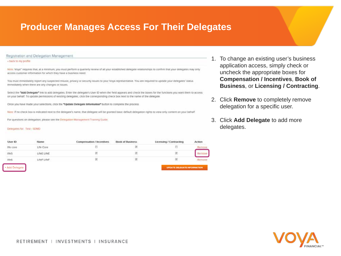### **Producer Manages Access For Their Delegates**

Registration and Delegation Management

#### - back to my profile

Note, Voya" requires that, at a minimum, you must perform a quarterly review of all your established delegate relationships to confirm that your delegates may only access customer information for which they have a business need.

You must immediately report any suspected misuse, privacy or security issues to your Voya representative. You are required to update your delegates' status immediately when there are any changes or issues.

Select the "Add Delegate" link to add delegates. Enter the delegate's User ID when the field appears and check the boxes for the functions you want them to access on your behalf. To update permissions of existing delegates, click the corresponding check box next to the name of the delegate.

Once you have made your selections, click the "Update Delegate Information" button to complete the process

Note If no check box is indicated next to the delegate's name, that delegate will be granted basic default delegation rights to view only content on your behalf.

For questions on delegation, please see the Delegation Management Training Guide.

#### Delegates for: Test - SDMD

| User ID   | Name        | Compensation / Incentives | <b>Book of Business</b> | Licensing / Contracting | Action |
|-----------|-------------|---------------------------|-------------------------|-------------------------|--------|
| tife core | Life Core   |                           |                         |                         | Remove |
| the 5     | LifeE LifeE |                           |                         |                         |        |
| Ide6      | LifeF LifeF |                           |                         |                         | Remove |
|           |             |                           |                         |                         |        |

dd Delegate

- 1. To change an existing user's business application access, simply check or uncheck the appropriate boxes for **Compensation / Incentives**, **Book of Business**, or **Licensing / Contracting**.
- 2. Click **Remove** to completely remove delegation for a specific user.
- 3. Click **Add Delegate** to add more delegates.

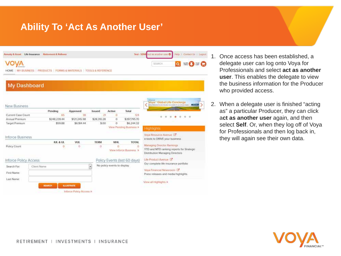### **Ability To 'Act As Another User'**

| Annuny & Asset: Life Insurance                                                |             | Retenent & Rollover |                                             |                     |                              | Test - SDM                            | act as another user @                                                                                                                    | Hetp: 1 Contact Us 1 Logo |
|-------------------------------------------------------------------------------|-------------|---------------------|---------------------------------------------|---------------------|------------------------------|---------------------------------------|------------------------------------------------------------------------------------------------------------------------------------------|---------------------------|
| VOYA<br>HOME   MY BUSINESS   PRODUCTS   FORMS & MATERIALS   TOOLS & REFERENCE |             |                     |                                             |                     |                              |                                       | SEARCH                                                                                                                                   | $\alpha$<br><b>HAND</b>   |
| <b>My Dashboard</b>                                                           |             |                     |                                             |                     |                              |                                       |                                                                                                                                          |                           |
| New Business                                                                  |             |                     |                                             |                     |                              |                                       | Entered<br>Voya <sup>-</sup> Global Life Concierge<br>adverts Mankamark from principal base and any detection for your party and channel |                           |
| Current Case Count                                                            |             | Pending<br>65       | Approved<br>38                              | <b>Issued</b><br>21 | Active<br>ō                  | Total<br>124                          |                                                                                                                                          |                           |
| Annual Premium                                                                |             | \$248,239.44        | \$121,245.98                                | \$28,310.28         | Ö                            | \$397,795.70                          |                                                                                                                                          |                           |
| Target Premium                                                                |             | \$59.88             | \$6,184.44                                  | \$.00               | Ö                            | \$6,244.32<br>View Pending Business > | Highlights                                                                                                                               |                           |
| <b>Inforce Business</b>                                                       |             |                     |                                             |                     |                              |                                       | Voya Resource Avenue E<br>e-tools to DRIVE your business.                                                                                |                           |
|                                                                               |             | <b>IUL &amp; UL</b> | <b>VUL</b>                                  | <b>TERM</b>         | WHL.                         | <b>TOTAL</b>                          |                                                                                                                                          |                           |
| Policy Count                                                                  |             | o<br>œ              | o                                           | Ð                   |                              | o<br>View Inforce Business >          | Managing Director Rankings<br>YTD and MTD ranking reports for Strategic<br>Distribution Managing Directors                               |                           |
| Inforce Policy Access                                                         |             |                     |                                             |                     |                              | Policy Events (last 60 days)          | Life Product Avenue 16                                                                                                                   |                           |
| Search For:<br>First Name:<br>Last Name:                                      | Client Name |                     |                                             | $\bullet$           | No policy events to display. |                                       | Our complete life insurance portfolio<br>Voya Financial Newsroom [3]<br>Press releases and media highlights                              |                           |
|                                                                               |             | <b>SEARCH</b>       | <b>RAUSTRATE</b><br>Inforce Policy Access > |                     |                              |                                       | View all Highlights >                                                                                                                    |                           |

- $\frac{1}{2}$  1. Once access has been established, a delegate user can log onto Voya for Professionals and select **act as another user**. This enables the delegate to view the business information for the Producer who provided access.
	- 2. When a delegate user is finished "acting as" a particular Producer, they can click a**ct as another user** again, and then select **Self**. Or, when they log off of Voya for Professionals and then log back in, they will again see their own data.

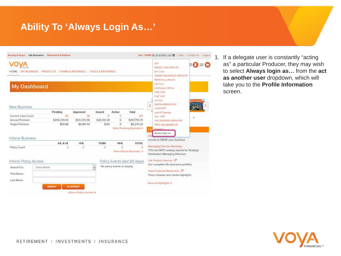### **Ability To 'Always Login As…'**



1. If a delegate user is constantly "acting as" a particular Producer, they may wish to select **Always login as…** from the **act as another user** dropdown, which will take you to the **Profile Information**  screen.

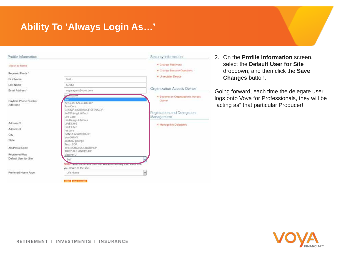### **Ability To 'Always Login As…'**

| Profile Information               |                                                                                                       | Security Information                               | 2. On the <b>Profile Information</b> screen,                                            |
|-----------------------------------|-------------------------------------------------------------------------------------------------------|----------------------------------------------------|-----------------------------------------------------------------------------------------|
| « back to home                    |                                                                                                       | · Change Password                                  | select the Default User for Site                                                        |
| Required Fields *                 |                                                                                                       | · Change Security Questions<br>· Unregister Device | dropdown, and then click the Save                                                       |
| First Name                        | Test.                                                                                                 |                                                    | <b>Changes button.</b>                                                                  |
| Last Name                         | SDMD                                                                                                  |                                                    |                                                                                         |
| Email Address *                   | voya.agent@voya.com                                                                                   | Organization Access Owner                          | Going forward, each time the delegate user                                              |
| Daytime Phone Number<br>Address 1 | <b>KADI-KADER</b><br>ANGELO SALCEDO-DP                                                                | · Become an Organization's Access<br>Owner         | logs onto Voya for Professionals, they will be<br>"acting as" that particular Producer! |
|                                   | Ann Core<br>CRUMP INSURANCE SERVS-DP<br>INGWriting LifeTwo!<br>Life Core<br>LifeDesign LifeFour       | Registration and Delegation<br>Management          |                                                                                         |
| Address 2                         | LifeE LifeE                                                                                           | . Manage My Delegates                              |                                                                                         |
| Address 3                         | LifeF LifeF<br>Iret core                                                                              |                                                    |                                                                                         |
| City                              | SANTA APARICIO-DP                                                                                     |                                                    |                                                                                         |
| State                             | siva001NY<br>sophi07-george                                                                           |                                                    |                                                                                         |
| Zip/Postal Code                   | Test - SDP<br>THE BURGESS GROUP OP<br>TROY ALEJANDRE-DP                                               |                                                    |                                                                                         |
| Registered Rep.                   | Vasanth J                                                                                             |                                                    |                                                                                         |
| Default User for Site             | Self<br>NOTE: consumer communication municipality and communication consum<br>you return to the site. |                                                    |                                                                                         |
| Preferred Home Page               | Life Home                                                                                             | ٠                                                  |                                                                                         |
|                                   | <b>MEDIT &amp; HAVE CHANGES</b>                                                                       |                                                    |                                                                                         |